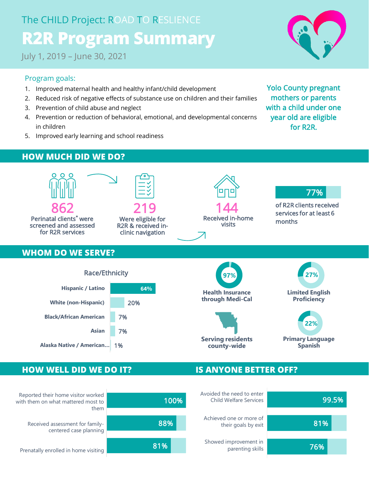# The CHILD Project: ROAD TO RESLIENCE **R2R Program Summary**

July 1, 2019 – June 30, 2021

#### Program goals:

- 1. Improved maternal health and healthy infant/child development
- 2. Reduced risk of negative effects of substance use on children and their families
- 3. Prevention of child abuse and neglect
- 4. Prevention or reduction of behavioral, emotional, and developmental concerns in children
- 5. Improved early learning and school readiness

Yolo County pregnant mothers or parents with a child under one year old are eligible for R2R.

### **HOW MUCH DID WE DO?**



#### **HOW WELL DID WE DO IT? IS ANYONE BETTER OFF?**